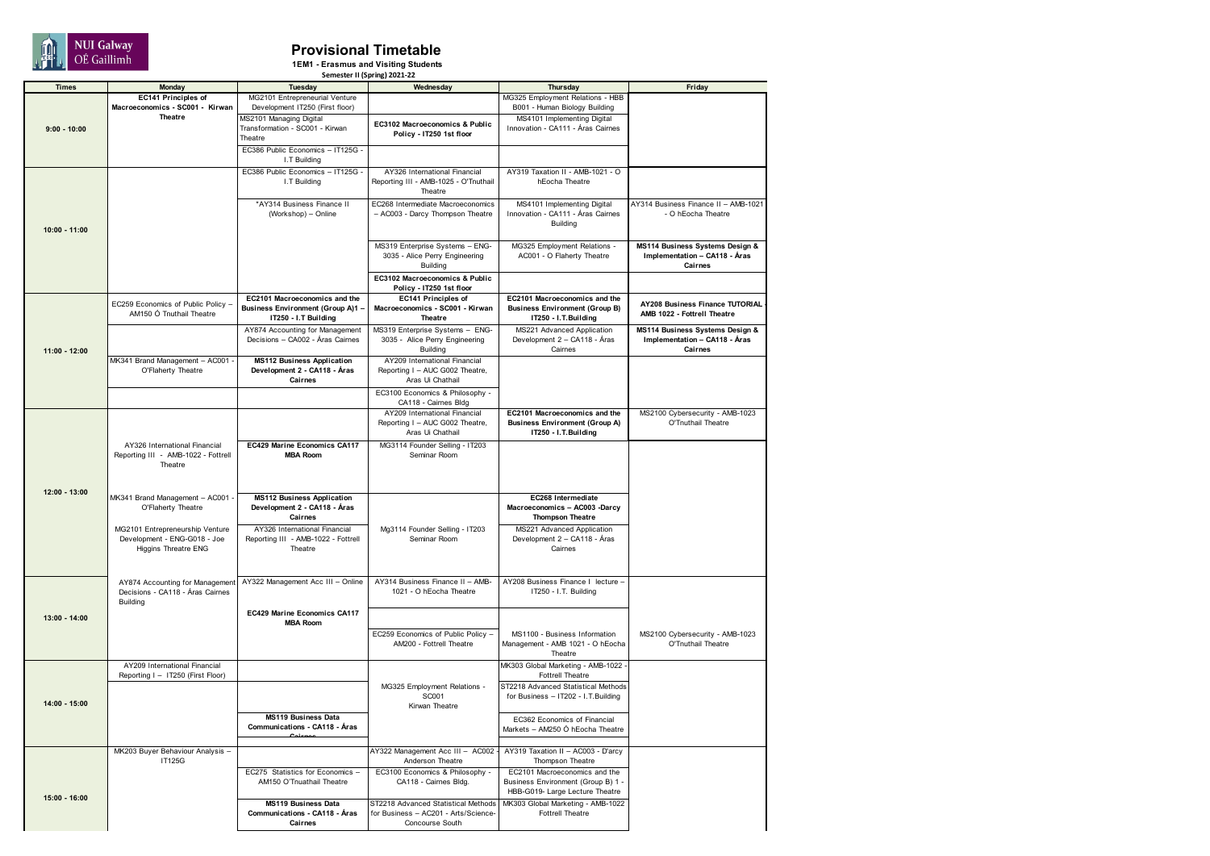

## **Provisional Timetable**

**1EM1 - Erasmus and Visiting Students Semester II (Spring) 2021-22**

| <b>Times</b>    | Monday                              | Tuesday                                  | Wednesday                             | Thursday                              | Friday                               |
|-----------------|-------------------------------------|------------------------------------------|---------------------------------------|---------------------------------------|--------------------------------------|
|                 |                                     |                                          |                                       |                                       |                                      |
|                 | EC141 Principles of                 | MG2101 Entrepreneurial Venture           |                                       | MG325 Employment Relations - HBB      |                                      |
|                 | Macroeconomics - SC001 - Kirwan     | Development IT250 (First floor)          |                                       | B001 - Human Biology Building         |                                      |
|                 | <b>Theatre</b>                      | MS2101 Managing Digital                  |                                       | MS4101 Implementing Digital           |                                      |
| $9:00 - 10:00$  |                                     | Transformation - SC001 - Kirwan          | EC3102 Macroeconomics & Public        | Innovation - CA111 - Áras Cairnes     |                                      |
|                 |                                     | Theatre                                  | Policy - IT250 1st floor              |                                       |                                      |
|                 |                                     | EC386 Public Economics - IT125G          |                                       |                                       |                                      |
|                 |                                     | I.T Building                             |                                       |                                       |                                      |
|                 |                                     |                                          |                                       |                                       |                                      |
|                 |                                     | EC386 Public Economics - IT125G -        | AY326 International Financial         | AY319 Taxation II - AMB-1021 - O      |                                      |
|                 |                                     | I.T Building                             | Reporting III - AMB-1025 - O'Tnuthail | hEocha Theatre                        |                                      |
|                 |                                     |                                          | Theatre                               |                                       |                                      |
|                 |                                     | *AY314 Business Finance II               | EC268 Intermediate Macroeconomics     | MS4101 Implementing Digital           | AY314 Business Finance II - AMB-1021 |
|                 |                                     | (Workshop) - Online                      | - AC003 - Darcy Thompson Theatre      | Innovation - CA111 - Áras Cairnes     | - O hEocha Theatre                   |
|                 |                                     |                                          |                                       | Building                              |                                      |
| $10:00 - 11:00$ |                                     |                                          |                                       |                                       |                                      |
|                 |                                     |                                          |                                       |                                       |                                      |
|                 |                                     |                                          | MS319 Enterprise Systems - ENG-       | MG325 Employment Relations -          | MS114 Business Systems Design &      |
|                 |                                     |                                          | 3035 - Alice Perry Engineering        | AC001 - O Flaherty Theatre            | Implementation - CA118 - Áras        |
|                 |                                     |                                          | Building                              |                                       | Cairnes                              |
|                 |                                     |                                          | EC3102 Macroeconomics & Public        |                                       |                                      |
|                 |                                     |                                          | Policy - IT250 1st floor              |                                       |                                      |
|                 |                                     |                                          |                                       |                                       |                                      |
|                 | EC259 Economics of Public Policy -  | EC2101 Macroeconomics and the            | EC141 Principles of                   | EC2101 Macroeconomics and the         | AY208 Business Finance TUTORIAL      |
|                 | AM150 Ó Tnuthail Theatre            | <b>Business Environment (Group A)1 -</b> | Macroeconomics - SC001 - Kirwan       | <b>Business Environment (Group B)</b> | AMB 1022 - Fottrell Theatre          |
|                 |                                     | IT250 - I.T Building                     | <b>Theatre</b>                        | IT250 - I.T.Building                  |                                      |
|                 |                                     | AY874 Accounting for Management          | MS319 Enterprise Systems - ENG-       | MS221 Advanced Application            | MS114 Business Systems Design &      |
|                 |                                     | Decisions - CA002 - Áras Cairnes         | 3035 - Alice Perry Engineering        | Development 2 - CA118 - Áras          | Implementation - CA118 - Áras        |
| $11:00 - 12:00$ |                                     |                                          | <b>Building</b>                       | Cairnes                               | Cairnes                              |
|                 | MK341 Brand Management - AC001      | <b>MS112 Business Application</b>        | AY209 International Financial         |                                       |                                      |
|                 | O'Flaherty Theatre                  | Development 2 - CA118 - Áras             | Reporting I - AUC G002 Theatre,       |                                       |                                      |
|                 |                                     | Cairnes                                  | Aras Ui Chathail                      |                                       |                                      |
|                 |                                     |                                          |                                       |                                       |                                      |
|                 |                                     |                                          | EC3100 Economics & Philosophy -       |                                       |                                      |
|                 |                                     |                                          | CA118 - Cairnes Bldg                  |                                       |                                      |
|                 |                                     |                                          | AY209 International Financial         | EC2101 Macroeconomics and the         | MS2100 Cybersecurity - AMB-1023      |
|                 |                                     |                                          | Reporting I - AUC G002 Theatre,       | <b>Business Environment (Group A)</b> | O'Tnuthail Theatre                   |
|                 |                                     |                                          | Aras Ui Chathail                      | IT250 - I.T.Building                  |                                      |
|                 |                                     |                                          |                                       |                                       |                                      |
|                 | AY326 International Financial       | EC429 Marine Economics CA117             | MG3114 Founder Selling - IT203        |                                       |                                      |
|                 | Reporting III - AMB-1022 - Fottrell | <b>MBA Room</b>                          | Seminar Room                          |                                       |                                      |
|                 | Theatre                             |                                          |                                       |                                       |                                      |
|                 |                                     |                                          |                                       |                                       |                                      |
|                 |                                     |                                          |                                       |                                       |                                      |
| 12:00 - 13:00   | MK341 Brand Management - AC001      | <b>MS112 Business Application</b>        |                                       | EC268 Intermediate                    |                                      |
|                 | O'Flaherty Theatre                  | Development 2 - CA118 - Áras             |                                       | Macroeconomics - AC003 -Darcy         |                                      |
|                 |                                     | Cairnes                                  |                                       | <b>Thompson Theatre</b>               |                                      |
|                 |                                     |                                          |                                       |                                       |                                      |
|                 | MG2101 Entrepreneurship Venture     | AY326 International Financial            | Mg3114 Founder Selling - IT203        | MS221 Advanced Application            |                                      |
|                 | Development - ENG-G018 - Joe        | Reporting III - AMB-1022 - Fottrell      | Seminar Room                          | Development 2 - CA118 - Áras          |                                      |
|                 | <b>Higgins Threatre ENG</b>         | Theatre                                  |                                       | Cairnes                               |                                      |
|                 |                                     |                                          |                                       |                                       |                                      |
|                 |                                     |                                          |                                       |                                       |                                      |
|                 | AY874 Accounting for Management     | AY322 Management Acc III - Online        | AY314 Business Finance II - AMB-      | AY208 Business Finance I lecture      |                                      |
| 13:00 - 14:00   | Decisions - CA118 - Áras Cairnes    |                                          | 1021 - O hEocha Theatre               | IT250 - I.T. Building                 |                                      |
|                 | Building                            |                                          |                                       |                                       |                                      |
|                 |                                     |                                          |                                       |                                       |                                      |
|                 |                                     | EC429 Marine Economics CA117             |                                       |                                       |                                      |
|                 |                                     | <b>MBA Room</b>                          |                                       |                                       |                                      |
|                 |                                     |                                          | EC259 Economics of Public Policy -    | MS1100 - Business Information         | MS2100 Cybersecurity - AMB-1023      |
|                 |                                     |                                          | AM200 - Fottrell Theatre              | Management - AMB 1021 - O hEocha      | O'Tnuthail Theatre                   |
|                 |                                     |                                          |                                       | Theatre                               |                                      |
|                 | AY209 International Financial       |                                          |                                       | MK303 Global Marketing - AMB-1022     |                                      |
|                 | Reporting I - IT250 (First Floor)   |                                          |                                       | <b>Fottrell Theatre</b>               |                                      |
|                 |                                     |                                          |                                       |                                       |                                      |
|                 |                                     |                                          | MG325 Employment Relations -          | ST2218 Advanced Statistical Methods   |                                      |
| 14:00 - 15:00   |                                     |                                          | <b>SC001</b>                          | for Business - IT202 - I.T.Building   |                                      |
|                 |                                     |                                          | Kirwan Theatre                        |                                       |                                      |
|                 |                                     | MS119 Business Data                      |                                       | EC362 Economics of Financial          |                                      |
|                 |                                     | Communications - CA118 - Aras            |                                       | Markets - AM250 Ó hEocha Theatre      |                                      |
|                 |                                     |                                          |                                       |                                       |                                      |
|                 |                                     |                                          |                                       |                                       |                                      |
|                 | MK203 Buyer Behaviour Analysis -    |                                          | AY322 Management Acc III - AC002      | AY319 Taxation II - AC003 - D'arcy    |                                      |
|                 | IT125G                              |                                          | Anderson Theatre                      | Thompson Theatre                      |                                      |
| $15:00 - 16:00$ |                                     | EC275 Statistics for Economics -         | EC3100 Economics & Philosophy -       | EC2101 Macroeconomics and the         |                                      |
|                 |                                     | AM150 O'Tnuathail Theatre                | CA118 - Cairnes Bldg.                 | Business Environment (Group B) 1 -    |                                      |
|                 |                                     |                                          |                                       | HBB-G019- Large Lecture Theatre       |                                      |
|                 |                                     | <b>MS119 Business Data</b>               | ST2218 Advanced Statistical Methods   | MK303 Global Marketing - AMB-1022     |                                      |
|                 |                                     | Communications - CA118 - Áras            | for Business - AC201 - Arts/Science-  | <b>Fottrell Theatre</b>               |                                      |
|                 |                                     | Cairnes                                  | Concourse South                       |                                       |                                      |
|                 |                                     |                                          |                                       |                                       |                                      |